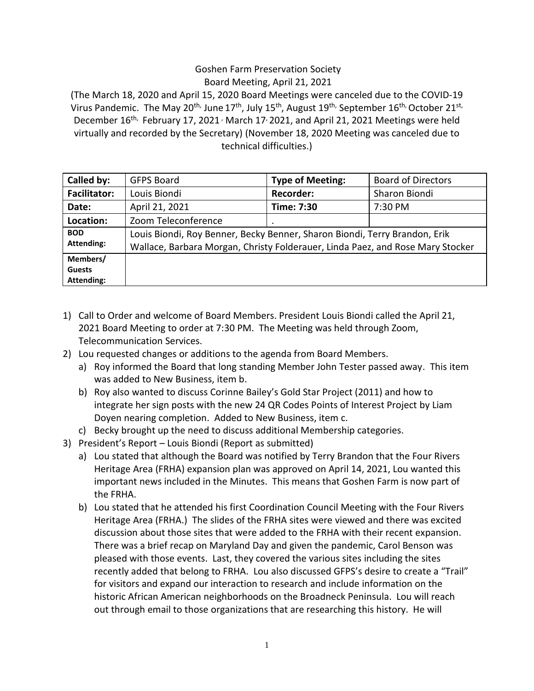## Goshen Farm Preservation Society Board Meeting, April 21, 2021

(The March 18, 2020 and April 15, 2020 Board Meetings were canceled due to the COVID-19 Virus Pandemic. The May 20<sup>th,</sup> June 17<sup>th</sup>, July 15<sup>th</sup>, August 19<sup>th,</sup> September 16<sup>th,</sup> October 21<sup>st,</sup> December  $16^{\text{th}}$ , February 17, 2021<sup>,</sup> March 17<sup>,</sup> 2021, and April 21, 2021 Meetings were held virtually and recorded by the Secretary) (November 18, 2020 Meeting was canceled due to technical difficulties.)

| Called by:                              | <b>GFPS Board</b>                                                                                                                                            | <b>Type of Meeting:</b> | <b>Board of Directors</b> |
|-----------------------------------------|--------------------------------------------------------------------------------------------------------------------------------------------------------------|-------------------------|---------------------------|
| <b>Facilitator:</b>                     | Louis Biondi                                                                                                                                                 | <b>Recorder:</b>        | Sharon Biondi             |
| Date:                                   | April 21, 2021                                                                                                                                               | Time: 7:30              | 7:30 PM                   |
| Location:                               | Zoom Teleconference                                                                                                                                          | ٠                       |                           |
| <b>BOD</b><br><b>Attending:</b>         | Louis Biondi, Roy Benner, Becky Benner, Sharon Biondi, Terry Brandon, Erik<br>Wallace, Barbara Morgan, Christy Folderauer, Linda Paez, and Rose Mary Stocker |                         |                           |
| Members/<br><b>Guests</b><br>Attending: |                                                                                                                                                              |                         |                           |

- 1) Call to Order and welcome of Board Members. President Louis Biondi called the April 21, 2021 Board Meeting to order at 7:30 PM. The Meeting was held through Zoom, Telecommunication Services.
- 2) Lou requested changes or additions to the agenda from Board Members.
	- a) Roy informed the Board that long standing Member John Tester passed away. This item was added to New Business, item b.
	- b) Roy also wanted to discuss Corinne Bailey's Gold Star Project (2011) and how to integrate her sign posts with the new 24 QR Codes Points of Interest Project by Liam Doyen nearing completion. Added to New Business, item c.
- c) Becky brought up the need to discuss additional Membership categories.
- 3) President's Report Louis Biondi (Report as submitted)
	- a) Lou stated that although the Board was notified by Terry Brandon that the Four Rivers Heritage Area (FRHA) expansion plan was approved on April 14, 2021, Lou wanted this important news included in the Minutes. This means that Goshen Farm is now part of the FRHA.
	- b) Lou stated that he attended his first Coordination Council Meeting with the Four Rivers Heritage Area (FRHA.) The slides of the FRHA sites were viewed and there was excited discussion about those sites that were added to the FRHA with their recent expansion. There was a brief recap on Maryland Day and given the pandemic, Carol Benson was pleased with those events. Last, they covered the various sites including the sites recently added that belong to FRHA. Lou also discussed GFPS's desire to create a "Trail" for visitors and expand our interaction to research and include information on the historic African American neighborhoods on the Broadneck Peninsula. Lou will reach out through email to those organizations that are researching this history. He will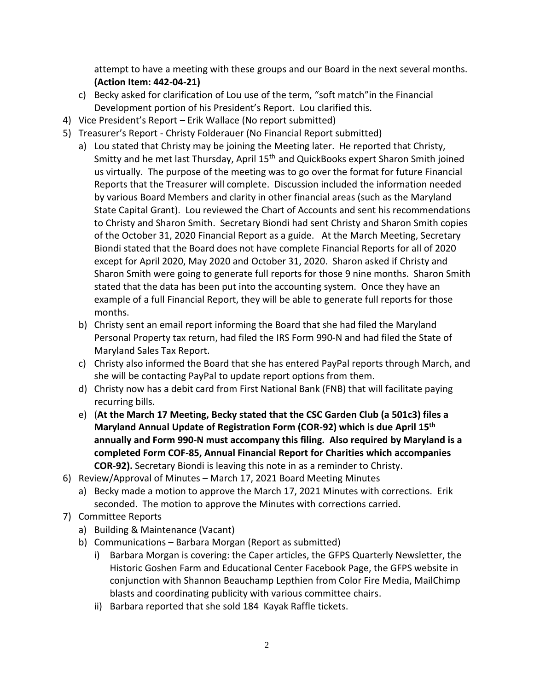attempt to have a meeting with these groups and our Board in the next several months. **(Action Item: 442-04-21)**

- c) Becky asked for clarification of Lou use of the term, "soft match"in the Financial Development portion of his President's Report. Lou clarified this.
- 4) Vice President's Report Erik Wallace (No report submitted)
- 5) Treasurer's Report Christy Folderauer (No Financial Report submitted)
	- a) Lou stated that Christy may be joining the Meeting later. He reported that Christy, Smitty and he met last Thursday, April 15<sup>th</sup> and QuickBooks expert Sharon Smith joined us virtually. The purpose of the meeting was to go over the format for future Financial Reports that the Treasurer will complete. Discussion included the information needed by various Board Members and clarity in other financial areas (such as the Maryland State Capital Grant). Lou reviewed the Chart of Accounts and sent his recommendations to Christy and Sharon Smith. Secretary Biondi had sent Christy and Sharon Smith copies of the October 31, 2020 Financial Report as a guide. At the March Meeting, Secretary Biondi stated that the Board does not have complete Financial Reports for all of 2020 except for April 2020, May 2020 and October 31, 2020. Sharon asked if Christy and Sharon Smith were going to generate full reports for those 9 nine months. Sharon Smith stated that the data has been put into the accounting system. Once they have an example of a full Financial Report, they will be able to generate full reports for those months.
	- b) Christy sent an email report informing the Board that she had filed the Maryland Personal Property tax return, had filed the IRS Form 990-N and had filed the State of Maryland Sales Tax Report.
	- c) Christy also informed the Board that she has entered PayPal reports through March, and she will be contacting PayPal to update report options from them.
	- d) Christy now has a debit card from First National Bank (FNB) that will facilitate paying recurring bills.
	- e) (**At the March 17 Meeting, Becky stated that the CSC Garden Club (a 501c3) files a Maryland Annual Update of Registration Form (COR-92) which is due April 15th annually and Form 990-N must accompany this filing. Also required by Maryland is a completed Form COF-85, Annual Financial Report for Charities which accompanies COR-92).** Secretary Biondi is leaving this note in as a reminder to Christy.
- 6) Review/Approval of Minutes March 17, 2021 Board Meeting Minutes
	- a) Becky made a motion to approve the March 17, 2021 Minutes with corrections. Erik seconded. The motion to approve the Minutes with corrections carried.
- 7) Committee Reports
	- a) Building & Maintenance (Vacant)
	- b) Communications Barbara Morgan (Report as submitted)
		- i) Barbara Morgan is covering: the Caper articles, the GFPS Quarterly Newsletter, the Historic Goshen Farm and Educational Center Facebook Page, the GFPS website in conjunction with Shannon Beauchamp Lepthien from Color Fire Media, MailChimp blasts and coordinating publicity with various committee chairs.
		- ii) Barbara reported that she sold 184 Kayak Raffle tickets.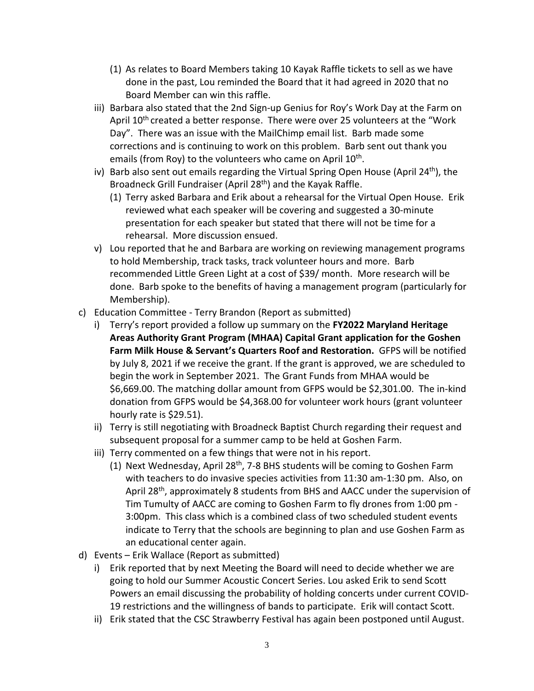- (1) As relates to Board Members taking 10 Kayak Raffle tickets to sell as we have done in the past, Lou reminded the Board that it had agreed in 2020 that no Board Member can win this raffle.
- iii) Barbara also stated that the 2nd Sign-up Genius for Roy's Work Day at the Farm on April 10<sup>th</sup> created a better response. There were over 25 volunteers at the "Work Day". There was an issue with the MailChimp email list. Barb made some corrections and is continuing to work on this problem. Barb sent out thank you emails (from Roy) to the volunteers who came on April 10<sup>th</sup>.
- iv) Barb also sent out emails regarding the Virtual Spring Open House (April  $24<sup>th</sup>$ ), the Broadneck Grill Fundraiser (April 28<sup>th</sup>) and the Kayak Raffle.
	- (1) Terry asked Barbara and Erik about a rehearsal for the Virtual Open House. Erik reviewed what each speaker will be covering and suggested a 30-minute presentation for each speaker but stated that there will not be time for a rehearsal. More discussion ensued.
- v) Lou reported that he and Barbara are working on reviewing management programs to hold Membership, track tasks, track volunteer hours and more. Barb recommended Little Green Light at a cost of \$39/ month. More research will be done. Barb spoke to the benefits of having a management program (particularly for Membership).
- c) Education Committee Terry Brandon (Report as submitted)
	- i) Terry's report provided a follow up summary on the **FY2022 Maryland Heritage Areas Authority Grant Program (MHAA) Capital Grant application for the Goshen Farm Milk House & Servant's Quarters Roof and Restoration.** GFPS will be notified by July 8, 2021 if we receive the grant. If the grant is approved, we are scheduled to begin the work in September 2021. The Grant Funds from MHAA would be \$6,669.00. The matching dollar amount from GFPS would be \$2,301.00. The in-kind donation from GFPS would be \$4,368.00 for volunteer work hours (grant volunteer hourly rate is \$29.51).
	- ii) Terry is still negotiating with Broadneck Baptist Church regarding their request and subsequent proposal for a summer camp to be held at Goshen Farm.
	- iii) Terry commented on a few things that were not in his report.
		- (1) Next Wednesday, April 28<sup>th</sup>, 7-8 BHS students will be coming to Goshen Farm with teachers to do invasive species activities from 11:30 am-1:30 pm. Also, on April 28<sup>th</sup>, approximately 8 students from BHS and AACC under the supervision of Tim Tumulty of AACC are coming to Goshen Farm to fly drones from 1:00 pm - 3:00pm. This class which is a combined class of two scheduled student events indicate to Terry that the schools are beginning to plan and use Goshen Farm as an educational center again.
- d) Events Erik Wallace (Report as submitted)
	- i) Erik reported that by next Meeting the Board will need to decide whether we are going to hold our Summer Acoustic Concert Series. Lou asked Erik to send Scott Powers an email discussing the probability of holding concerts under current COVID-19 restrictions and the willingness of bands to participate. Erik will contact Scott.
	- ii) Erik stated that the CSC Strawberry Festival has again been postponed until August.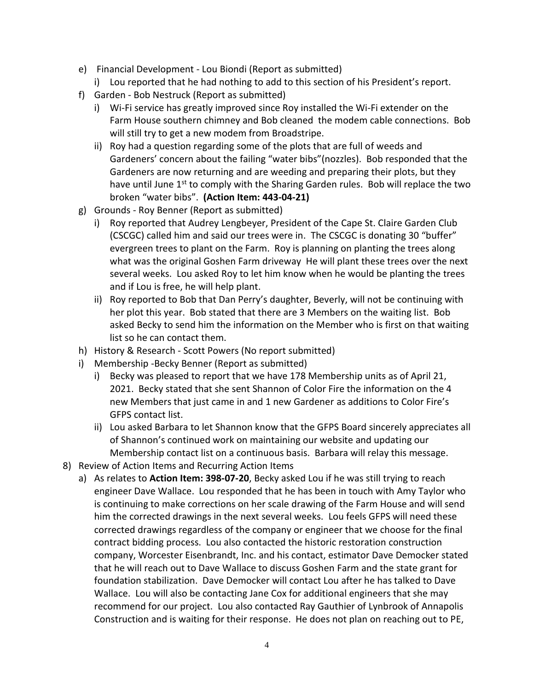- e) Financial Development Lou Biondi (Report as submitted)
	- i) Lou reported that he had nothing to add to this section of his President's report.
- f) Garden Bob Nestruck (Report as submitted)
	- i) Wi-Fi service has greatly improved since Roy installed the Wi-Fi extender on the Farm House southern chimney and Bob cleaned the modem cable connections. Bob will still try to get a new modem from Broadstripe.
	- ii) Roy had a question regarding some of the plots that are full of weeds and Gardeners' concern about the failing "water bibs"(nozzles). Bob responded that the Gardeners are now returning and are weeding and preparing their plots, but they have until June 1<sup>st</sup> to comply with the Sharing Garden rules. Bob will replace the two broken "water bibs". **(Action Item: 443-04-21)**
- g) Grounds Roy Benner (Report as submitted)
	- i) Roy reported that Audrey Lengbeyer, President of the Cape St. Claire Garden Club (CSCGC) called him and said our trees were in. The CSCGC is donating 30 "buffer" evergreen trees to plant on the Farm. Roy is planning on planting the trees along what was the original Goshen Farm driveway He will plant these trees over the next several weeks. Lou asked Roy to let him know when he would be planting the trees and if Lou is free, he will help plant.
	- ii) Roy reported to Bob that Dan Perry's daughter, Beverly, will not be continuing with her plot this year. Bob stated that there are 3 Members on the waiting list. Bob asked Becky to send him the information on the Member who is first on that waiting list so he can contact them.
- h) History & Research Scott Powers (No report submitted)
- i) Membership -Becky Benner (Report as submitted)
	- i) Becky was pleased to report that we have 178 Membership units as of April 21, 2021. Becky stated that she sent Shannon of Color Fire the information on the 4 new Members that just came in and 1 new Gardener as additions to Color Fire's GFPS contact list.
	- ii) Lou asked Barbara to let Shannon know that the GFPS Board sincerely appreciates all of Shannon's continued work on maintaining our website and updating our Membership contact list on a continuous basis. Barbara will relay this message.
- 8) Review of Action Items and Recurring Action Items
	- a) As relates to **Action Item: 398-07-20**, Becky asked Lou if he was still trying to reach engineer Dave Wallace. Lou responded that he has been in touch with Amy Taylor who is continuing to make corrections on her scale drawing of the Farm House and will send him the corrected drawings in the next several weeks. Lou feels GFPS will need these corrected drawings regardless of the company or engineer that we choose for the final contract bidding process. Lou also contacted the historic restoration construction company, Worcester Eisenbrandt, Inc. and his contact, estimator Dave Democker stated that he will reach out to Dave Wallace to discuss Goshen Farm and the state grant for foundation stabilization. Dave Democker will contact Lou after he has talked to Dave Wallace. Lou will also be contacting Jane Cox for additional engineers that she may recommend for our project. Lou also contacted Ray Gauthier of Lynbrook of Annapolis Construction and is waiting for their response. He does not plan on reaching out to PE,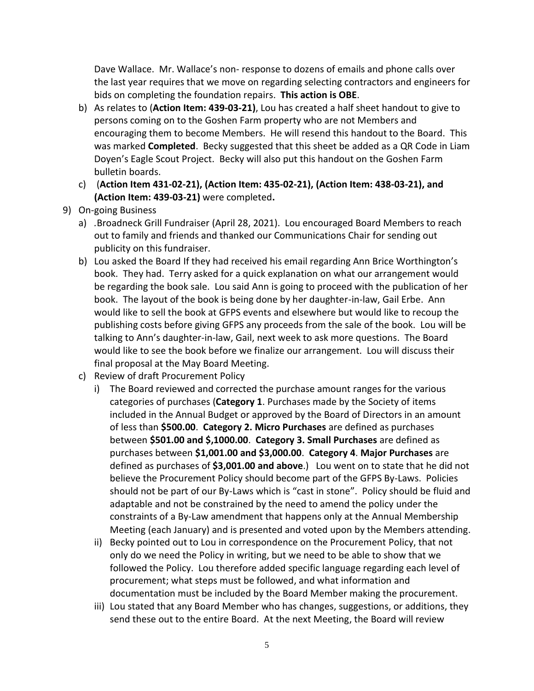Dave Wallace. Mr. Wallace's non- response to dozens of emails and phone calls over the last year requires that we move on regarding selecting contractors and engineers for bids on completing the foundation repairs. **This action is OBE**.

- b) As relates to (**Action Item: 439-03-21)**, Lou has created a half sheet handout to give to persons coming on to the Goshen Farm property who are not Members and encouraging them to become Members. He will resend this handout to the Board. This was marked **Completed**. Becky suggested that this sheet be added as a QR Code in Liam Doyen's Eagle Scout Project. Becky will also put this handout on the Goshen Farm bulletin boards.
- c) (**Action Item 431-02-21), (Action Item: 435-02-21), (Action Item: 438-03-21), and (Action Item: 439-03-21)** were completed**.**
- 9) On-going Business
	- a) *.*Broadneck Grill Fundraiser (April 28, 2021). Lou encouraged Board Members to reach out to family and friends and thanked our Communications Chair for sending out publicity on this fundraiser.
	- b) Lou asked the Board If they had received his email regarding Ann Brice Worthington's book. They had. Terry asked for a quick explanation on what our arrangement would be regarding the book sale. Lou said Ann is going to proceed with the publication of her book. The layout of the book is being done by her daughter-in-law, Gail Erbe. Ann would like to sell the book at GFPS events and elsewhere but would like to recoup the publishing costs before giving GFPS any proceeds from the sale of the book. Lou will be talking to Ann's daughter-in-law, Gail, next week to ask more questions. The Board would like to see the book before we finalize our arrangement. Lou will discuss their final proposal at the May Board Meeting.
	- c) Review of draft Procurement Policy
		- i) The Board reviewed and corrected the purchase amount ranges for the various categories of purchases (**Category 1**. Purchases made by the Society of items included in the Annual Budget or approved by the Board of Directors in an amount of less than **\$500.00**. **Category 2. Micro Purchases** are defined as purchases between **\$501.00 and \$,1000.00**. **Category 3. Small Purchases** are defined as purchases between **\$1,001.00 and \$3,000.00**. **Category 4**. **Major Purchases** are defined as purchases of **\$3,001.00 and above**.) Lou went on to state that he did not believe the Procurement Policy should become part of the GFPS By-Laws. Policies should not be part of our By-Laws which is "cast in stone". Policy should be fluid and adaptable and not be constrained by the need to amend the policy under the constraints of a By-Law amendment that happens only at the Annual Membership Meeting (each January) and is presented and voted upon by the Members attending.
		- ii) Becky pointed out to Lou in correspondence on the Procurement Policy, that not only do we need the Policy in writing, but we need to be able to show that we followed the Policy. Lou therefore added specific language regarding each level of procurement; what steps must be followed, and what information and documentation must be included by the Board Member making the procurement.
		- iii) Lou stated that any Board Member who has changes, suggestions, or additions, they send these out to the entire Board. At the next Meeting, the Board will review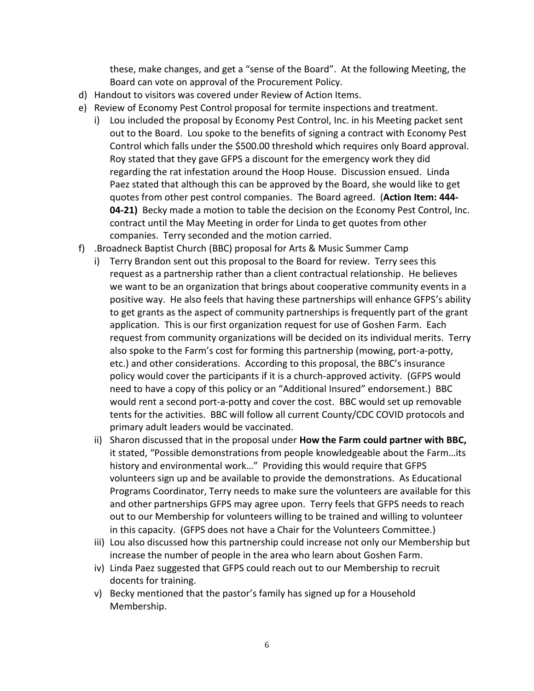these, make changes, and get a "sense of the Board". At the following Meeting, the Board can vote on approval of the Procurement Policy.

- d) Handout to visitors was covered under Review of Action Items.
- e) Review of Economy Pest Control proposal for termite inspections and treatment.
	- i) Lou included the proposal by Economy Pest Control, Inc. in his Meeting packet sent out to the Board. Lou spoke to the benefits of signing a contract with Economy Pest Control which falls under the \$500.00 threshold which requires only Board approval. Roy stated that they gave GFPS a discount for the emergency work they did regarding the rat infestation around the Hoop House. Discussion ensued. Linda Paez stated that although this can be approved by the Board, she would like to get quotes from other pest control companies. The Board agreed. (**Action Item: 444- 04-21)** Becky made a motion to table the decision on the Economy Pest Control, Inc. contract until the May Meeting in order for Linda to get quotes from other companies. Terry seconded and the motion carried.
- f) .Broadneck Baptist Church (BBC) proposal for Arts & Music Summer Camp
	- i) Terry Brandon sent out this proposal to the Board for review. Terry sees this request as a partnership rather than a client contractual relationship. He believes we want to be an organization that brings about cooperative community events in a positive way. He also feels that having these partnerships will enhance GFPS's ability to get grants as the aspect of community partnerships is frequently part of the grant application. This is our first organization request for use of Goshen Farm. Each request from community organizations will be decided on its individual merits. Terry also spoke to the Farm's cost for forming this partnership (mowing, port-a-potty, etc.) and other considerations. According to this proposal, the BBC's insurance policy would cover the participants if it is a church-approved activity. (GFPS would need to have a copy of this policy or an "Additional Insured" endorsement.) BBC would rent a second port-a-potty and cover the cost. BBC would set up removable tents for the activities. BBC will follow all current County/CDC COVID protocols and primary adult leaders would be vaccinated.
	- ii) Sharon discussed that in the proposal under **How the Farm could partner with BBC,**  it stated, "Possible demonstrations from people knowledgeable about the Farm…its history and environmental work…" Providing this would require that GFPS volunteers sign up and be available to provide the demonstrations. As Educational Programs Coordinator, Terry needs to make sure the volunteers are available for this and other partnerships GFPS may agree upon. Terry feels that GFPS needs to reach out to our Membership for volunteers willing to be trained and willing to volunteer in this capacity. (GFPS does not have a Chair for the Volunteers Committee.)
	- iii) Lou also discussed how this partnership could increase not only our Membership but increase the number of people in the area who learn about Goshen Farm.
	- iv) Linda Paez suggested that GFPS could reach out to our Membership to recruit docents for training.
	- v) Becky mentioned that the pastor's family has signed up for a Household Membership.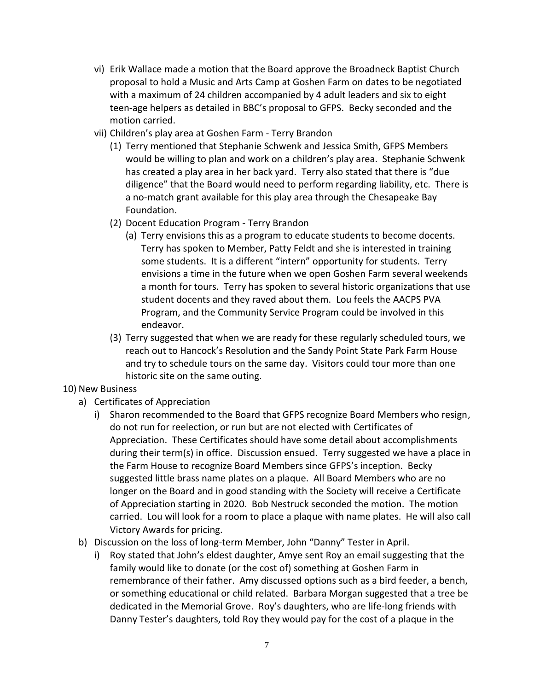- vi) Erik Wallace made a motion that the Board approve the Broadneck Baptist Church proposal to hold a Music and Arts Camp at Goshen Farm on dates to be negotiated with a maximum of 24 children accompanied by 4 adult leaders and six to eight teen-age helpers as detailed in BBC's proposal to GFPS. Becky seconded and the motion carried.
- vii) Children's play area at Goshen Farm Terry Brandon
	- (1) Terry mentioned that Stephanie Schwenk and Jessica Smith, GFPS Members would be willing to plan and work on a children's play area. Stephanie Schwenk has created a play area in her back yard. Terry also stated that there is "due diligence" that the Board would need to perform regarding liability, etc. There is a no-match grant available for this play area through the Chesapeake Bay Foundation.
	- (2) Docent Education Program Terry Brandon
		- (a) Terry envisions this as a program to educate students to become docents. Terry has spoken to Member, Patty Feldt and she is interested in training some students. It is a different "intern" opportunity for students. Terry envisions a time in the future when we open Goshen Farm several weekends a month for tours. Terry has spoken to several historic organizations that use student docents and they raved about them. Lou feels the AACPS PVA Program, and the Community Service Program could be involved in this endeavor.
	- (3) Terry suggested that when we are ready for these regularly scheduled tours, we reach out to Hancock's Resolution and the Sandy Point State Park Farm House and try to schedule tours on the same day. Visitors could tour more than one historic site on the same outing.

## 10) New Business

- a) Certificates of Appreciation
	- i) Sharon recommended to the Board that GFPS recognize Board Members who resign, do not run for reelection, or run but are not elected with Certificates of Appreciation. These Certificates should have some detail about accomplishments during their term(s) in office. Discussion ensued. Terry suggested we have a place in the Farm House to recognize Board Members since GFPS's inception. Becky suggested little brass name plates on a plaque. All Board Members who are no longer on the Board and in good standing with the Society will receive a Certificate of Appreciation starting in 2020. Bob Nestruck seconded the motion. The motion carried. Lou will look for a room to place a plaque with name plates. He will also call Victory Awards for pricing.
- b) Discussion on the loss of long-term Member, John "Danny" Tester in April.
	- i) Roy stated that John's eldest daughter, Amye sent Roy an email suggesting that the family would like to donate (or the cost of) something at Goshen Farm in remembrance of their father. Amy discussed options such as a bird feeder, a bench, or something educational or child related. Barbara Morgan suggested that a tree be dedicated in the Memorial Grove. Roy's daughters, who are life-long friends with Danny Tester's daughters, told Roy they would pay for the cost of a plaque in the